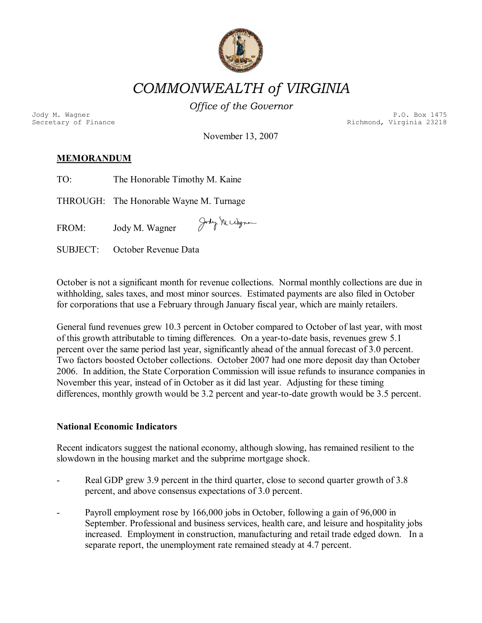

# *COMMONWEALTH of VIRGINIA*

*Office of the Governor* 

Jody M. Wagner P.O. Box 1475<br>Secretary of Finance Person Richmond, Virginia 23218 Richmond, Virginia 23218

November 13, 2007

# **MEMORANDUM**

TO: The Honorable Timothy M. Kaine

THROUGH: The Honorable Wayne M. Turnage

Jody N. Udgren FROM: Jody M. Wagner

SUBJECT: October Revenue Data

October is not a significant month for revenue collections. Normal monthly collections are due in withholding, sales taxes, and most minor sources. Estimated payments are also filed in October for corporations that use a February through January fiscal year, which are mainly retailers.

General fund revenues grew 10.3 percent in October compared to October of last year, with most of this growth attributable to timing differences. On a year-to-date basis, revenues grew 5.1 percent over the same period last year, significantly ahead of the annual forecast of 3.0 percent. Two factors boosted October collections. October 2007 had one more deposit day than October 2006. In addition, the State Corporation Commission will issue refunds to insurance companies in November this year, instead of in October as it did last year. Adjusting for these timing differences, monthly growth would be  $3.2$  percent and year-to-date growth would be  $3.5$  percent.

#### **National Economic Indicators**

Recent indicators suggest the national economy, although slowing, has remained resilient to the slowdown in the housing market and the subprime mortgage shock.

- Real GDP grew 3.9 percent in the third quarter, close to second quarter growth of 3.8 percent, and above consensus expectations of 3.0 percent.
- Payroll employment rose by 166,000 jobs in October, following a gain of 96,000 in September. Professional and business services, health care, and leisure and hospitality jobs increased. Employment in construction, manufacturing and retail trade edged down. In a separate report, the unemployment rate remained steady at 4.7 percent.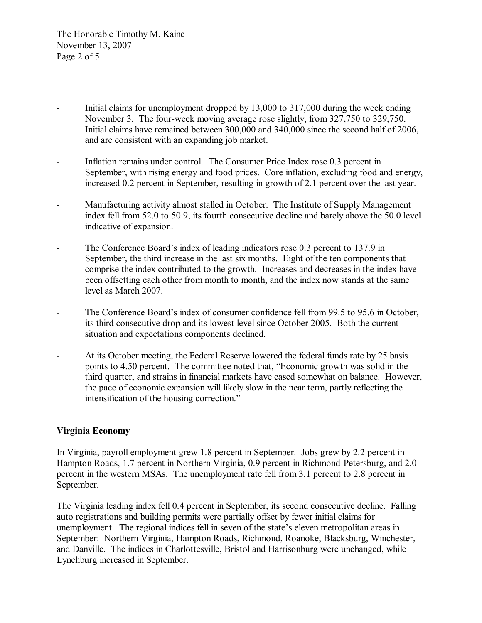The Honorable Timothy M. Kaine November 13, 2007 Page 2 of 5

- Initial claims for unemployment dropped by 13,000 to 317,000 during the week ending November 3. The four-week moving average rose slightly, from 327,750 to 329,750. Initial claims have remained between 300,000 and 340,000 since the second half of 2006, and are consistent with an expanding job market.
- Inflation remains under control. The Consumer Price Index rose 0.3 percent in September, with rising energy and food prices. Core inflation, excluding food and energy, increased 0.2 percent in September, resulting in growth of 2.1 percent over the last year.
- Manufacturing activity almost stalled in October. The Institute of Supply Management index fell from 52.0 to 50.9, its fourth consecutive decline and barely above the 50.0 level indicative of expansion.
- The Conference Board's index of leading indicators rose 0.3 percent to 137.9 in September, the third increase in the last six months. Eight of the ten components that comprise the index contributed to the growth. Increases and decreases in the index have been offsetting each other from month to month, and the index now stands at the same level as March 2007.
- The Conference Board's index of consumer confidence fell from 99.5 to 95.6 in October, its third consecutive drop and its lowest level since October 2005. Both the current situation and expectations components declined.
- At its October meeting, the Federal Reserve lowered the federal funds rate by 25 basis points to 4.50 percent. The committee noted that, "Economic growth was solid in the third quarter, and strains in financial markets have eased somewhat on balance. However, the pace of economic expansion will likely slow in the near term, partly reflecting the intensification of the housing correction."

#### **Virginia Economy**

In Virginia, payroll employment grew 1.8 percent in September. Jobs grew by 2.2 percent in Hampton Roads, 1.7 percent in Northern Virginia, 0.9 percent in Richmond-Petersburg, and 2.0 percent in the western MSAs. The unemployment rate fell from 3.1 percent to 2.8 percent in September.

The Virginia leading index fell 0.4 percent in September, its second consecutive decline. Falling auto registrations and building permits were partially offset by fewer initial claims for unemployment. The regional indices fell in seven of the state's eleven metropolitan areas in September: Northern Virginia, Hampton Roads, Richmond, Roanoke, Blacksburg, Winchester, and Danville. The indices in Charlottesville, Bristol and Harrisonburg were unchanged, while Lynchburg increased in September.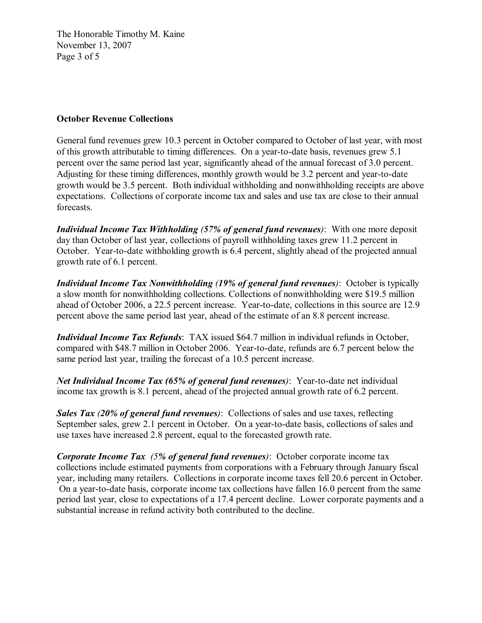The Honorable Timothy M. Kaine November 13, 2007 Page 3 of 5

## **October Revenue Collections**

General fund revenues grew 10.3 percent in October compared to October of last year, with most of this growth attributable to timing differences. On a year-to-date basis, revenues grew 5.1 percent over the same period last year, significantly ahead of the annual forecast of 3.0 percent. Adjusting for these timing differences, monthly growth would be 3.2 percent and year-to-date growth would be 3.5 percent. Both individual withholding and nonwithholding receipts are above expectations. Collections of corporate income tax and sales and use tax are close to their annual forecasts.

*Individual Income Tax Withholding (57% of general fund revenues)*: With one more deposit day than October of last year, collections of payroll withholding taxes grew 11.2 percent in October. Year-to-date withholding growth is 6.4 percent, slightly ahead of the projected annual growth rate of 6.1 percent.

*Individual Income Tax Nonwithholding (19% of general fund revenues)*: October is typically a slow month for nonwithholding collections. Collections of nonwithholding were \$19.5 million ahead of October 2006, a 22.5 percent increase. Year-to-date, collections in this source are 12.9 percent above the same period last year, ahead of the estimate of an 8.8 percent increase.

*Individual Income Tax Refunds*: TAX issued \$64.7 million in individual refunds in October, compared with \$48.7 million in October 2006. Year-to-date, refunds are 6.7 percent below the same period last year, trailing the forecast of a 10.5 percent increase.

*Net Individual Income Tax (65% of general fund revenues)*: Year-to-date net individual income tax growth is 8.1 percent, ahead of the projected annual growth rate of 6.2 percent.

*Sales Tax (20% of general fund revenues)*: Collections of sales and use taxes, reflecting September sales, grew 2.1 percent in October. On a year-to-date basis, collections of sales and use taxes have increased 2.8 percent, equal to the forecasted growth rate.

*Corporate Income Tax (5% of general fund revenues)*: October corporate income tax collections include estimated payments from corporations with a February through January fiscal year, including many retailers. Collections in corporate income taxes fell 20.6 percent in October. On a year-to-date basis, corporate income tax collections have fallen 16.0 percent from the same period last year, close to expectations of a 17.4 percent decline. Lower corporate payments and a substantial increase in refund activity both contributed to the decline.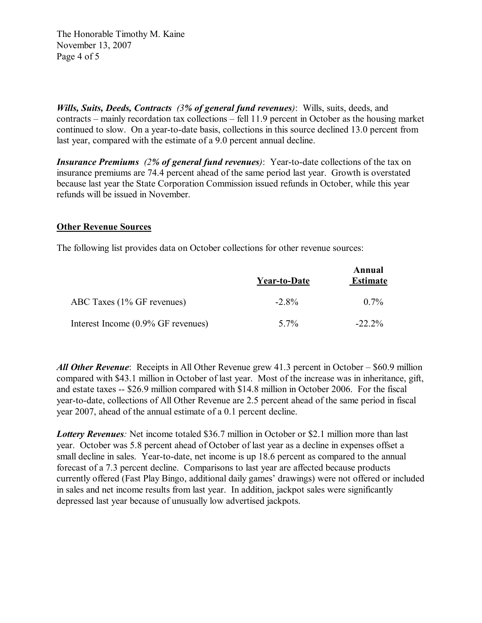The Honorable Timothy M. Kaine November 13, 2007 Page 4 of 5

*Wills, Suits, Deeds, Contracts (3% of general fund revenues)*: Wills, suits, deeds, and contracts – mainly recordation tax collections – fell 11.9 percent in October as the housing market continued to slow. On a year-to-date basis, collections in this source declined 13.0 percent from last year, compared with the estimate of a 9.0 percent annual decline.

*Insurance Premiums (2% of general fund revenues)*: Year-to-date collections of the tax on insurance premiums are 74.4 percent ahead of the same period last year. Growth is overstated because last year the State Corporation Commission issued refunds in October, while this year refunds will be issued in November.

# **Other Revenue Sources**

The following list provides data on October collections for other revenue sources:

|                                    | Year-to-Date | Annual<br><b>Estimate</b> |  |
|------------------------------------|--------------|---------------------------|--|
| ABC Taxes (1% GF revenues)         | $-2.8\%$     | $0.7\%$                   |  |
| Interest Income (0.9% GF revenues) | 5 7%         | $-22.2\%$                 |  |

*All Other Revenue*: Receipts in All Other Revenue grew 41.3 percent in October – \$60.9 million compared with \$43.1 million in October of last year. Most of the increase was in inheritance, gift, and estate taxes  $-$  \$26.9 million compared with \$14.8 million in October 2006. For the fiscal year-to-date, collections of All Other Revenue are 2.5 percent ahead of the same period in fiscal year 2007, ahead of the annual estimate of a 0.1 percent decline.

*Lottery Revenues:* Net income totaled \$36.7 million in October or \$2.1 million more than last year. October was 5.8 percent ahead of October of last year as a decline in expenses offset a small decline in sales. Year-to-date, net income is up 18.6 percent as compared to the annual forecast of a 7.3 percent decline. Comparisons to last year are affected because products currently offered (Fast Play Bingo, additional daily games' drawings) were not offered or included in sales and net income results from last year. In addition, jackpot sales were significantly depressed last year because of unusually low advertised jackpots.